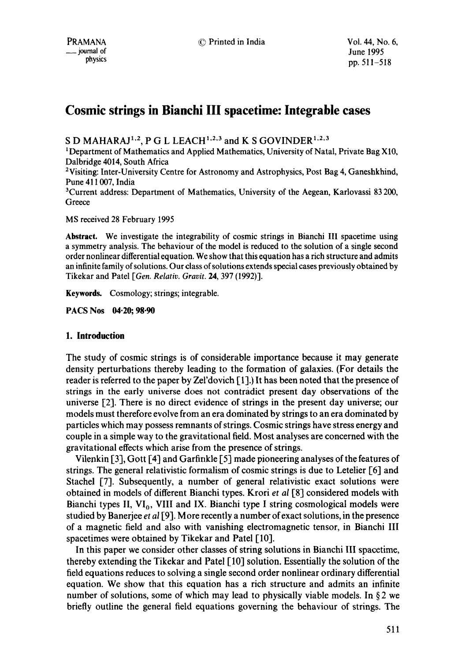# **Cosmic strings in Bianchi III spacetime: Integrable cases**

S D MAHARAJ<sup>1,2</sup>, P G L LEACH<sup>1,2,3</sup> and K S GOVINDER<sup>1,2,3</sup>

1 Department of Mathematics and Applied Mathematics, University of Natal, Private Bag X10, Dalbridge 4014, South Africa

2Visiting: Inter-University Centre for Astronomy and Astrophysics, Post Bag 4, Ganeshkhind, Pune 411007, India

3Current address: Department of Mathematics, University of the Aegean, Karlovassi 83 200, **Greece** 

MS received 28 February 1995

**Abstract.** We investigate the integrability of cosmic strings in Bianchi III spacetime using a symmetry analysis. The behaviour of the model is reduced to the solution of a single second order nonlinear differential equation. We show that this equation has a rich structure and admits an infinite family of solutions. Our class of solutions extends special cases previously obtained by Tikekar and Patel *[Gen. Relativ. Gravit.* 24, 397 (1992)-I.

**Keywords.** Cosmology; strings; integrable.

**PACS Nos 04.20; 98-90** 

## **1. Introduction**

The study of cosmic strings is of considerable importance because it may generate density perturbations thereby leading to the formation of galaxies. (For details the reader is referred to the paper by Zel'dovich  $[1]$ . It has been noted that the presence of strings in the early universe does not contradict present day observations of the universe [2]. There is no direct evidence of strings in the present day universe; our models must therefore evolve from an era dominated by strings to an era dominated by particles which may possess remnants of strings. Cosmic strings have stress energy and couple in a simple way to the gravitational field. Most analyses are concerned with the gravitational effects which arise from the presence of strings.

Vilenkin [3], Gott [4] and Garfinkle [5] made pioneering analyses of the features of strings. The general relativistic formalism of cosmic strings is due to Letelier [6] and Stachel [7]. Subsequently, a number of general relativistic exact solutions were obtained in models of different Bianchi types. Krori *et al* [8] considered models with Bianchi types II,  $VI_0$ , VIII and IX. Bianchi type I string cosmological models were studied by Banerjee *et al* [9]. More recently a number of exact solutions, in the presence of a magnetic field and also with vanishing electromagnetic tensor, in Bianchi III spacetimes were obtained by Tikekar and Patel [10].

In this paper we consider other classes of string solutions in Bianchi III spacetime, thereby extending the Tikekar and Patel [10] solution. Essentially the solution of the field equations reduces to solving a single second order nonlinear ordinary differential equation. We show that this equation has a rich structure and admits an infinite number of solutions, some of which may lead to physically viable models. In  $\S 2$  we briefly outline the general field equations governing the behaviour of strings. The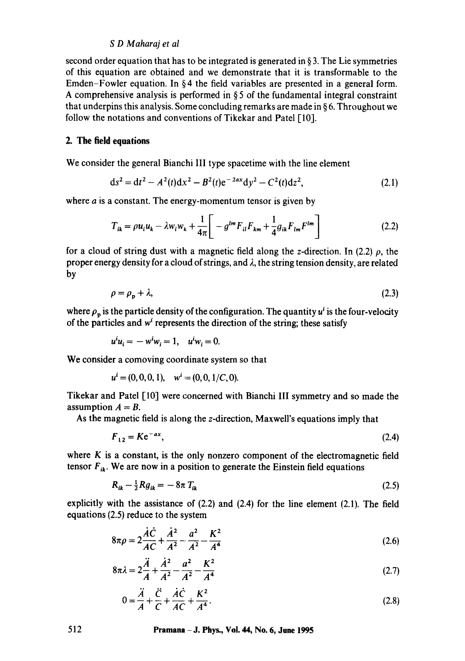second order equation that has to be integrated is generated in  $\S 3$ . The Lie symmetries of this equation are obtained and we demonstrate that it is transformable to the Emden-Fowler equation. In  $\S 4$  the field variables are presented in a general form. A comprehensive analysis is performed in  $\S 5$  of the fundamental integral constraint that underpins this analysis. Some concluding remarks are made in § 6. Throughout we follow the notations and conventions of Tikekar and Patel [10].

## **2. The field equations**

We consider the general Bianchi III type spacetime with the line element

$$
ds^{2} = dt^{2} - A^{2}(t)dx^{2} - B^{2}(t)e^{-2ax}dy^{2} - C^{2}(t)dz^{2},
$$
\n(2.1)

where *a* is a constant. The energy-momentum tensor is given by

$$
T_{ik} = \rho u_i u_k - \lambda w_i w_k + \frac{1}{4\pi} \left[ -g^{lm} F_{il} F_{km} + \frac{1}{4} g_{ik} F_{lm} F^{lm} \right]
$$
 (2.2)

for a cloud of string dust with a magnetic field along the z-direction. In (2.2)  $\rho$ , the proper energy density for a cloud of strings, and  $\lambda$ , the string tension density, are related by

$$
\rho = \rho_p + \lambda,\tag{2.3}
$$

where  $\rho_p$  is the particle density of the configuration. The quantity  $u^i$  is the four-velocity of the particles and  $w<sup>i</sup>$  represents the direction of the string; these satisfy

$$
u^i u_i = -w^i w_i = 1, \quad u^i w_i = 0.
$$

We consider a comoving coordinate system so that

$$
u^{i} = (0, 0, 0, 1), \quad w^{i} = (0, 0, 1/C, 0).
$$

Tikekar and Patel [10] were concerned with Bianchi III symmetry and so made the assumption  $A = B$ .

As the magnetic field is along the z-direction, Maxwell's equations imply that

$$
F_{12} = Ke^{-ax},\tag{2.4}
$$

where  $K$  is a constant, is the only nonzero component of the electromagnetic field tensor  $F_{ik}$ . We are now in a position to generate the Einstein field equations

$$
R_{ik} - \frac{1}{2} R g_{ik} = -8\pi T_{ik} \tag{2.5}
$$

explicitly with the assistance of  $(2.2)$  and  $(2.4)$  for the line element  $(2.1)$ . The field equations (2.5) reduce to the system

$$
8\pi\rho = 2\frac{\dot{A}\dot{C}}{AC} + \frac{\dot{A}^2}{A^2} - \frac{a^2}{A^2} - \frac{K^2}{A^4}
$$
 (2.6)

$$
8\pi\lambda = 2\frac{\ddot{A}}{A} + \frac{\dot{A}^2}{A^2} - \frac{a^2}{A^2} - \frac{K^2}{A^4}
$$
 (2.7)

$$
0 = \frac{\ddot{A}}{A} + \frac{\ddot{C}}{C} + \frac{\dot{A}\dot{C}}{AC} + \frac{K^2}{A^4}.
$$
 (2.8)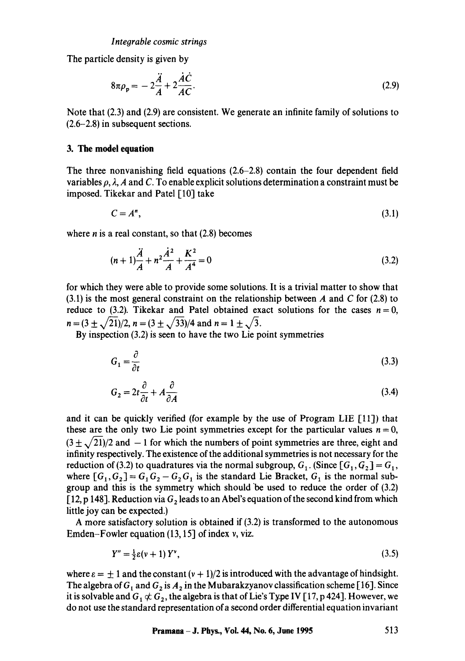The particle density is given by

$$
8\pi\rho_p = -2\frac{\ddot{A}}{A} + 2\frac{\dot{A}\dot{C}}{AC}.
$$
\n(2.9)

Note that (2.3) and (2.9) are consistent. We generate an infinite family of solutions to (2.6-2.8) in subsequent sections.

## **3. The model equation**

The three nonvanishing field equations (2.6-2.8) contain the four dependent field variables  $\rho$ ,  $\lambda$ , A and C. To enable explicit solutions determination a constraint must be imposed. Tikekar and Patel [10] take

$$
C = A^n,\tag{3.1}
$$

where  $n$  is a real constant, so that  $(2.8)$  becomes

$$
(n+1)\frac{\ddot{A}}{A} + n^2 \frac{\dot{A}^2}{A} + \frac{K^2}{A^4} = 0
$$
\n(3.2)

for which they were able to provide some solutions. It is a trivial matter to show that  $(3.1)$  is the most general constraint on the relationship between A and C for  $(2.8)$  to reduce to (3.2). Tikekar and Patel obtained exact solutions for the cases  $n = 0$ ,  $n = (3 \pm \sqrt{21})/2$ ,  $n = (3 \pm \sqrt{33})/4$  and  $n = 1 \pm \sqrt{3}$ .

By inspection (3.2) is seen to have the two Lie point symmetries

$$
G_1 = \frac{\partial}{\partial t} \tag{3.3}
$$

$$
G_2 = 2t \frac{\partial}{\partial t} + A \frac{\partial}{\partial A} \tag{3.4}
$$

and it can be quickly verified (for example by the use of Program LIE  $[11]$ ) that these are the only two Lie point symmetries except for the particular values  $n = 0$ ,  $(3 \pm \sqrt{21})/2$  and  $-1$  for which the numbers of point symmetries are three, eight and infinity respectively. The existence of the additional symmetries is not necessary for the reduction of (3.2) to quadratures via the normal subgroup,  $G_1$ . (Since  $[G_1, G_2] = G_1$ , where  $[G_1, G_2] = G_1 G_2 - G_2 G_1$  is the standard Lie Bracket,  $G_1$  is the normal subgroup and this is the symmetry which should "be used to reduce the order of (3.2) [12, p 148]. Reduction via  $G_2$  leads to an Abel's equation of the second kind from which little joy can be expected.)

A more satisfactory solution is obtained if (3.2) is transformed to the autonomous Emden-Fowler equation (13, 15] of index v, viz.

$$
Y'' = \frac{1}{2}\varepsilon(v+1)Y^v,\tag{3.5}
$$

where  $\varepsilon = \pm 1$  and the constant  $(v + 1)/2$  is introduced with the advantage of hindsight. The algebra of  $G_1$  and  $G_2$  is  $A_2$  in the Mubarakzyanov classification scheme [16]. Since it is solvable and  $G_1 \not\subset G_2$ , the algebra is that of Lie's Type IV [17, p 424]. However, we do not use the standard representation of a second order differential equation invariant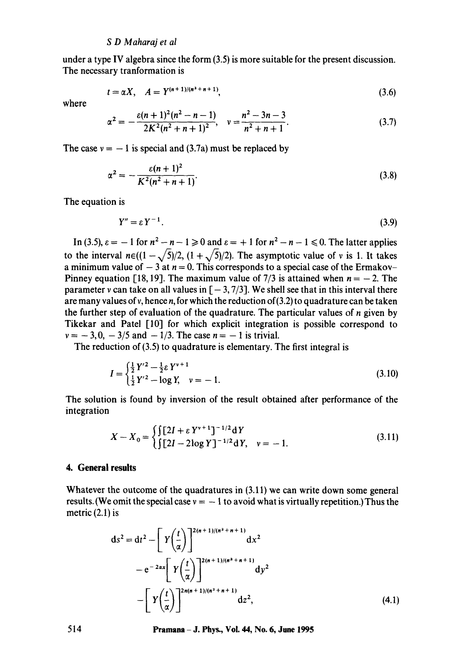under a type IV algebra since the form (3.5) is more suitable for the present discussion. The necessary tranformation is

$$
t = \alpha X, \quad A = Y^{(n+1)/(n^2+n+1)}, \tag{3.6}
$$

where

$$
\alpha^2 = -\frac{\varepsilon (n+1)^2 (n^2 - n - 1)}{2K^2 (n^2 + n + 1)^2}, \quad v = \frac{n^2 - 3n - 3}{n^2 + n + 1}.
$$
 (3.7)

The case  $v = -1$  is special and (3.7a) must be replaced by

$$
\alpha^2 = -\frac{\varepsilon (n+1)^2}{K^2(n^2+n+1)}.
$$
\n(3.8)

The equation is

$$
Y'' = \varepsilon Y^{-1}.
$$
\n<sup>(3.9)</sup>

In (3.5),  $\varepsilon = -1$  for  $n^2 - n - 1 \ge 0$  and  $\varepsilon = +1$  for  $n^2 - n - 1 \le 0$ . The latter applies to the interval  $n \in ((1 - \sqrt{5})/2, (1 + \sqrt{5})/2)$ . The asymptotic value of v is 1. It takes a minimum value of  $-3$  at  $n = 0$ . This corresponds to a special case of the Ermakov-Pinney equation [18, 19]. The maximum value of 7/3 is attained when  $n = -2$ . The parameter v can take on all values in  $[-3, 7/3]$ . We shell see that in this interval there are many values of v, hence n, for which the reduction of  $(3.2)$  to quadrature can be taken the further step of evaluation of the quadrature. The particular values of  $n$  given by Tikekar and Patel [10] for which explicit integration is possible correspond to  $v = -3, 0, -3/5$  and  $-1/3$ . The case  $n = -1$  is trivial.

The reduction of (3.5) to quadrature is elementary. The first integral is

$$
I = \begin{cases} \frac{1}{2} Y'^2 - \frac{1}{2} \varepsilon Y^{v+1} \\ \frac{1}{2} Y'^2 - \log Y, & v = -1. \end{cases}
$$
 (3.10)

The solution is found by inversion of the result obtained after performance of the integration

$$
X - X_0 = \begin{cases} \int [2I + \varepsilon Y^{v+1}]^{-1/2} dY \\ \int [2I - 2\log Y]^{-1/2} dY, & v = -1. \end{cases}
$$
 (3.11)

## **4. General results**

Whatever the outcome of the quadratures in (3.11) we can write down some general results. (We omit the special case  $v = -1$  to avoid what is virtually repetition.) Thus the metric  $(2.1)$  is

$$
ds^{2} = dt^{2} - \left[ Y \left( \frac{t}{\alpha} \right) \right]^{2(n+1)/(n^{2}+n+1)} dx^{2}
$$
  

$$
- e^{-2\alpha x} \left[ Y \left( \frac{t}{\alpha} \right) \right]^{2(n+1)/(n^{2}+n+1)} dy^{2}
$$
  

$$
- \left[ Y \left( \frac{t}{\alpha} \right) \right]^{2(n+1)/(n^{2}+n+1)} dz^{2}, \qquad (4.1)
$$

**514 Pramana -J. Phys., Vol. 44, No. 6, June 1995**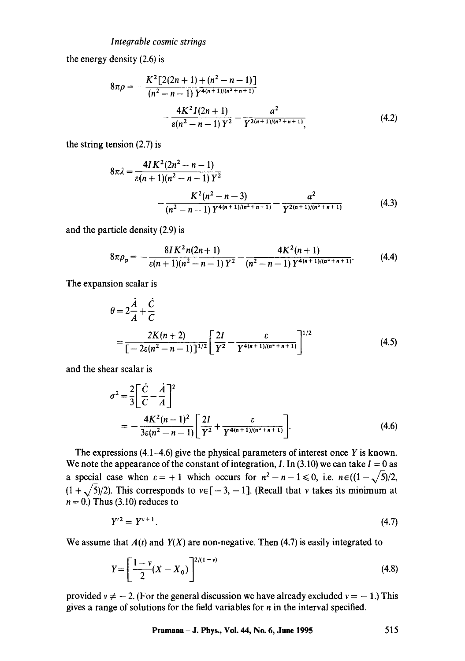#### *Integrable cosmic strings*

the energy density (2.6) is

$$
8\pi\rho = -\frac{K^2 \left[2(2n+1) + (n^2 - n - 1)\right]}{(n^2 - n - 1) Y^{4(n+1)/(n^2 + n + 1)}} -\frac{4K^2 I(2n+1)}{\varepsilon(n^2 - n - 1) Y^2} - \frac{a^2}{Y^{2(n+1)/(n^2 + n + 1)}},
$$
(4.2)

the string tension (2.7) is

$$
8\pi\lambda = \frac{4I K^2 (2n^2 - n - 1)}{\varepsilon (n+1)(n^2 - n - 1) Y^2} - \frac{K^2 (n^2 - n - 3)}{(n^2 - n - 1) Y^{4(n+1)/(n^2 + n + 1)}} - \frac{a^2}{Y^{2(n+1)/(n^2 + n + 1)}}
$$
(4.3)

and the particle density (2.9) is

$$
8\pi \rho_p = -\frac{8IK^2n(2n+1)}{\varepsilon(n+1)(n^2-n-1)Y^2} - \frac{4K^2(n+1)}{(n^2-n-1)Y^{4(n+1)/(n^2+n+1)}}.
$$
 (4.4)

The expansion scalar is

$$
\theta = 2\frac{\dot{A}}{A} + \frac{\dot{C}}{C}
$$
  
= 
$$
\frac{2K(n+2)}{[-2\varepsilon(n^2 - n - 1)]^{1/2}} \left[ \frac{2I}{Y^2} - \frac{\varepsilon}{Y^{4(n+1)/(n^2 + n + 1)}} \right]^{1/2}
$$
(4.5)

and the shear scalar is

$$
\sigma^2 = \frac{2}{3} \left[ \frac{\dot{C}}{C} - \frac{\dot{A}}{A} \right]^2
$$
  
= 
$$
-\frac{4K^2(n-1)^2}{3\varepsilon(n^2 - n - 1)} \left[ \frac{2I}{Y^2} + \frac{\varepsilon}{Y^{4(n+1)/(n^2 + n + 1)}} \right].
$$
 (4.6)

The expressions  $(4.1-4.6)$  give the physical parameters of interest once Y is known. We note the appearance of the constant of integration, I. In (3.10) we can take  $I = 0$  as a special case when  $\varepsilon = +1$  which occurs for  $n^2 - n - 1 \le 0$ , i.e.  $n \in ((1 - \sqrt{5})/2,$  $(1 + \sqrt{5})/2$ ). This corresponds to  $v \in [-3, -1]$ . (Recall that v takes its minimum at  $n = 0.$ ) Thus (3.10) reduces to

$$
Y'^2 = Y^{v+1}.\tag{4.7}
$$

We assume that  $A(t)$  and  $Y(X)$  are non-negative. Then (4.7) is easily integrated to

$$
Y = \left[\frac{1 - \nu}{2}(X - X_0)\right]^{2/(1 - \nu)}
$$
\n(4.8)

provided  $v \neq -2$ . (For the general discussion we have already excluded  $v = -1$ .) This gives a range of solutions for the field variables for  $n$  in the interval specified.

**Pramana- J. Phys., Vol. 44, No. 6, June 1995** 515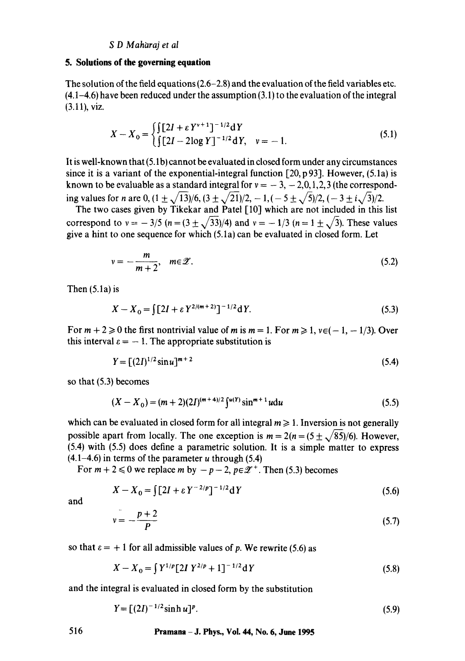### **5. Solutions of the governing equation**

The solution of the field equations (2.6-2.8) and the evaluation of the field variables etc. (4.1-4.6) have been reduced under the assumption (3.1) to the evaluation of the integral (3.11), viz.

$$
X - X_0 = \begin{cases} \int [2I + \varepsilon Y^{\nu+1}]^{-1/2} dY \\ \int [2I - 2\log Y]^{-1/2} dY, & \nu = -1. \end{cases}
$$
 (5.1)

It is well-known that (5.1 b) cannot be evaluated in closed form under any circumstances since it is a variant of the exponential-integral function  $[20, p 93]$ . However,  $(5.1a)$  is known to be evaluable as a standard integral for  $v = -3, -2, 0, 1, 2, 3$  (the corresponding values for *n* are 0,  $(1 \pm \sqrt{13})/6$ ,  $(3 \pm \sqrt{21})/2$ ,  $-1$ ,  $(-5 \pm \sqrt{5})/2$ ,  $(-3 \pm i\sqrt{3})/2$ .

The two cases given by Tikekar and Patel [10] which are not included in this list correspond to  $v = -3/5$  ( $n = (3 \pm \sqrt{33})/4$ ) and  $v = -1/3$  ( $n = 1 \pm \sqrt{3}$ ). These values give a hint to one sequence for which (5.1a) can be evaluated in closed form. Let

$$
v = -\frac{m}{m+2}, \quad m \in \mathcal{Z}.
$$
 (5.2)

Then (5.1a) is

$$
X - X_0 = \int [2I + \varepsilon Y^{2/(m+2)}]^{-1/2} dY.
$$
 (5.3)

For  $m + 2 \ge 0$  the first nontrivial value of m is  $m = 1$ . For  $m \ge 1$ ,  $v \in (-1, -1/3)$ . Over this interval  $\varepsilon = -1$ . The appropriate substitution is

$$
Y = [(2I)^{1/2} \sin u]^{m+2}
$$
 (5.4)

so that (5.3) becomes

$$
(X - X_0) = (m + 2)(2I)^{(m+4)/2} \int^{u(Y)} \sin^{m+1} u \, du \tag{5.5}
$$

which can be evaluated in closed form for all integral  $m \geq 1$ . Inversion is not generally possible apart from locally. The one exception is  $m = 2(n = (5 \pm \sqrt{85})/6)$ . However, (5.4) with (5.5) does define a parametric solution. It is a simple matter to express  $(4.1-4.6)$  in terms of the parameter u through (5.4)

For  $m + 2 \le 0$  we replace m by  $-p-2$ ,  $p \in \mathscr{Z}^+$ . Then (5.3) becomes

$$
X - X_0 = \int \left[2I + \varepsilon Y^{-2/p}\right]^{-1/2} dY
$$
 (5.6)

and

$$
v = -\frac{p+2}{P} \tag{5.7}
$$

so that  $\varepsilon = +1$  for all admissible values of p. We rewrite (5.6) as

$$
X - X_0 = \int Y^{1/p} [2I \ Y^{2/p} + 1]^{-1/2} dY \tag{5.8}
$$

and the integral is evaluated in closed form by the substitution

$$
Y = [(2I)^{-1/2}\sinh u]^p. \tag{5.9}
$$

# **516 Pramana -J. Phys., Vol. 44, No. 6, June 1995**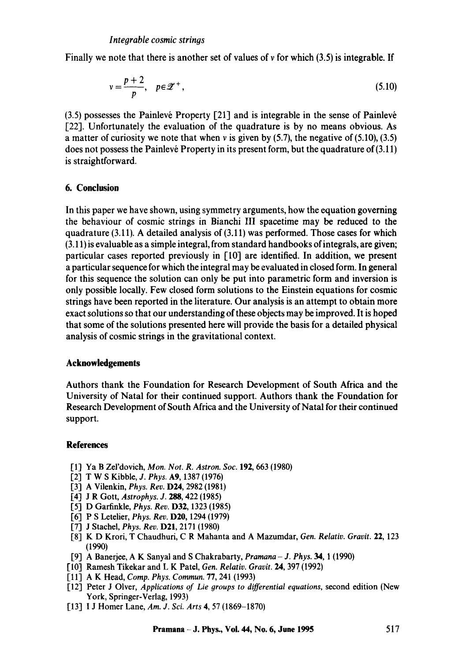Finally we note that there is another set of values of  $\nu$  for which (3.5) is integrable. If

$$
v = \frac{p+2}{p}, \quad p \in \mathcal{Z}^+, \tag{5.10}
$$

 $(3.5)$  possesses the Painlevé Property  $[21]$  and is integrable in the sense of Painlevé [22]. Unfortunately the evaluation of the quadrature is by no means obvious. As a matter of curiosity we note that when  $\nu$  is given by (5.7), the negative of (5.10), (3.5) does not possess the Painlevé Property in its present form, but the quadrature of  $(3.11)$ is straightforward.

# **6. Conclusion**

In this paper we have shown, using symmetry arguments, how the equation governing the behaviour of cosmic strings in Bianchi III spacetime may be reduced to the quadrature  $(3.11)$ . A detailed analysis of  $(3.11)$  was performed. Those cases for which (3.11) is evaluable as a simple integral, from standard handbooks of integrals, are given; particular cases reported previously in [10] are identified. In addition, we present a particular sequence for which the integral may be evaluated in closed form. In general for this sequence the solution can only be put into parametric form and inversion is only possible locally. Few closed form solutions to the Einstein equations for cosmic strings have been reported in the literature. Our analysis is an attempt to obtain more exact solutions so that our understanding of these objects may be improved. It is hoped that some of the solutions presented here will provide the basis for a detailed physical analysis of cosmic strings in the gravitational context.

## **Acknowledgements**

Authors thank the Foundation for Research Development of South Africa and the University of Natal for their continued support. Authors thank the Foundation for Research Development of South Africa and the University of Natal for their continued support.

# **References**

- [1] Ya B Zel'dovich, *Mon. Not. R. Astron. Soc.* 192, 663 (1980)
- [2] T W S Kibble, *J. Phys.* A9, 1387 (1976)
- [3] A Vilenkin, *Phys. Rev.* D24, 2982 (1981)
- [4"] J R Gott, *Astrophys. J. 288,* 422 (1985)
- [5] D Garfinkle, *Phys. Rev.* D32, 1323 (1985)
- [6] P S Letelier, *Phys. Rev.* D20, 1294 (1979)
- [7] J Stachel, *Phys. Rev.* **D21**, 2171 (1980)
- [8] K D Krori, T Chaudhuri, C R Mahanta and A Mazumdar, *Gen. Relativ. Gravit.* 22, 123 (1990)
- [9.] A Banerjee, A K Sanyal and S Chakrabarty, *Pramana J. Phys.* 34, 1 (1990)
- [10] Ramesh Tikekar and L K Pat¢l, *Gen. Relativ. Gravit.* 24, 397 (1992)
- [11] A K Head, *Comp. Phys. Commun.* 77, 241 (1993)
- [12.] Peter J Olver, *Applications of Lie groups to differential equations,* second edition (New York, Springer-Verlag, 1993)
- [13] I J Homer Lane, *Am. J. Sci. Arts* 4, 57 (1869-1870)